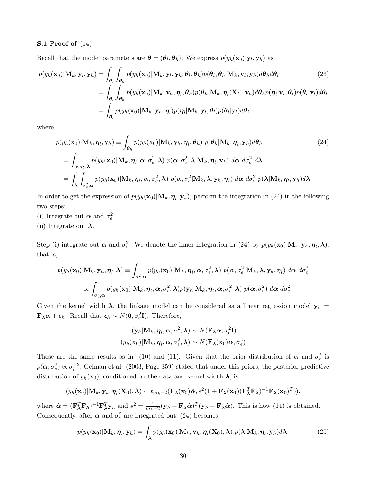## S.1 Proof of (14)

Recall that the model parameters are  $\boldsymbol{\theta} = (\theta_l, \theta_h)$ . We express  $p(y_h(\mathbf{x}_0)|\mathbf{y}_l, \mathbf{y}_h)$  as

$$
p(y_h(\mathbf{x}_0)|\mathbf{M}_k, \mathbf{y}_l, \mathbf{y}_h) = \int_{\theta_l} \int_{\theta_h} p(y_h(\mathbf{x}_0)|\mathbf{M}_k, \mathbf{y}_l, \mathbf{y}_h, \theta_l, \theta_h) p(\theta_l, \theta_h|\mathbf{M}_k, \mathbf{y}_l, \mathbf{y}_h) d\theta_h d\theta_l
$$
\n
$$
= \int_{\theta_l} \int_{\theta_h} p(y_h(\mathbf{x}_0)|\mathbf{M}_k, \mathbf{y}_h, \eta_l, \theta_h) p(\theta_h|\mathbf{M}_k, \eta_l(\mathbf{X}_l), \mathbf{y}_h) d\theta_h p(\eta_l|\mathbf{y}_l, \theta_l) p(\theta_l|\mathbf{y}_l) d\theta_l
$$
\n
$$
= \int_{\theta_l} p(y_h(\mathbf{x}_0)|\mathbf{M}_k, \mathbf{y}_h, \eta_l) p(\eta_l|\mathbf{M}_k, \mathbf{y}_l, \theta_l) p(\theta_l|\mathbf{y}_l) d\theta_l
$$
\n(23)

where

$$
p(y_h(\mathbf{x}_0)|\mathbf{M}_k, \boldsymbol{\eta}_l, \mathbf{y}_h) \equiv \int_{\theta_h} p(y_h(\mathbf{x}_0)|\mathbf{M}_k, \mathbf{y}_h, \boldsymbol{\eta}_l, \boldsymbol{\theta}_h) \ p(\boldsymbol{\theta}_h|\mathbf{M}_k, \boldsymbol{\eta}_l, \mathbf{y}_h) d\boldsymbol{\theta}_h
$$
\n
$$
= \int_{\alpha, \sigma_e^2, \lambda} p(y_h(\mathbf{x}_0)|\mathbf{M}_k, \boldsymbol{\eta}_l, \alpha, \sigma_e^2, \lambda) \ p(\alpha, \sigma_e^2, \lambda|\mathbf{M}_k, \boldsymbol{\eta}_l, \mathbf{y}_h) \ d\alpha \ d\sigma_e^2 \ d\lambda
$$
\n
$$
= \int_{\lambda} \int_{\sigma_e^2, \alpha} p(y_h(\mathbf{x}_0)|\mathbf{M}_k, \boldsymbol{\eta}_l, \alpha, \sigma_e^2, \lambda) \ p(\alpha, \sigma_e^2|\mathbf{M}_k, \lambda, \mathbf{y}_h, \boldsymbol{\eta}_l) \ d\alpha \ d\sigma_e^2 \ p(\lambda|\mathbf{M}_k, \boldsymbol{\eta}_l, \mathbf{y}_h) d\lambda
$$
\n(24)

In order to get the expression of  $p(y_h(\mathbf{x}_0)|\mathbf{M}_k, \boldsymbol{\eta}_l, \mathbf{y}_h)$ , perform the integration in (24) in the following two steps:

- (i) Integrate out  $\alpha$  and  $\sigma_e^2$ ;
- (ii) Integrate out  $\lambda$ .

Step (i) integrate out  $\alpha$  and  $\sigma_e^2$ . We denote the inner integration in (24) by  $p(y_h(\mathbf{x}_0)|\mathbf{M}_k, \mathbf{y}_h, \boldsymbol{\eta}_l, \boldsymbol{\lambda}),$ that is,

$$
p(y_h(\mathbf{x}_0)|\mathbf{M}_k, \mathbf{y}_h, \boldsymbol{\eta}_l, \boldsymbol{\lambda}) \equiv \int_{\sigma_e^2, \boldsymbol{\alpha}} p(y_h(\mathbf{x}_0)|\mathbf{M}_k, \boldsymbol{\eta}_l, \boldsymbol{\alpha}, \sigma_e^2, \boldsymbol{\lambda}) \ p(\boldsymbol{\alpha}, \sigma_e^2|\mathbf{M}_k, \boldsymbol{\lambda}, \mathbf{y}_h, \boldsymbol{\eta}_l) \ d\boldsymbol{\alpha} \ d\sigma_e^2
$$

$$
\propto \int_{\sigma_e^2, \boldsymbol{\alpha}} p(y_h(\mathbf{x}_0)|\mathbf{M}_k, \boldsymbol{\eta}_l, \boldsymbol{\alpha}, \sigma_e^2, \boldsymbol{\lambda}) p(\mathbf{y}_h|\mathbf{M}_k, \boldsymbol{\eta}_l, \boldsymbol{\alpha}, \sigma_e^2, \boldsymbol{\lambda}) \ p(\boldsymbol{\alpha}, \sigma_e^2) \ d\boldsymbol{\alpha} \ d\sigma_e^2
$$

Given the kernel width  $\lambda$ , the linkage model can be considered as a linear regression model  $y_h$  =  $\mathbf{F}_{\lambda} \boldsymbol{\alpha} + \boldsymbol{\epsilon}_h$ . Recall that  $\boldsymbol{\epsilon}_h \sim N(\mathbf{0}, \sigma_e^2 \mathbf{I})$ . Therefore,

$$
(\mathbf{y}_h|\mathbf{M}_k, \boldsymbol{\eta}_l, \boldsymbol{\alpha}, \sigma_e^2, \boldsymbol{\lambda}) \sim N(\mathbf{F}_{\boldsymbol{\lambda}}\boldsymbol{\alpha}, \sigma_e^2 \mathbf{I})
$$
  

$$
(y_h(\mathbf{x}_0)|\mathbf{M}_k, \boldsymbol{\eta}_l, \boldsymbol{\alpha}, \sigma_e^2, \boldsymbol{\lambda}) \sim N(\mathbf{F}_{\boldsymbol{\lambda}}(\mathbf{x}_0)\boldsymbol{\alpha}, \sigma_e^2)
$$

These are the same results as in (10) and (11). Given that the prior distribution of  $\alpha$  and  $\sigma_e^2$  is  $p(\boldsymbol{\alpha},\sigma^2_e) \propto \sigma_h^{-2}$  $h^{-2}$ , Gelman et al. (2003, Page 359) stated that under this priors, the posterior predictive distribution of  $y_h(\mathbf{x}_0)$ , conditioned on the data and kernel width  $\lambda$ , is

$$
(y_h(\mathbf{x}_0)|\mathbf{M}_k,\mathbf{y}_h,\boldsymbol{\eta}_l(\mathbf{X}_0),\boldsymbol{\lambda}) \sim t_{m_h-2}(\mathbf{F}_{\boldsymbol{\lambda}}(\mathbf{x}_0)\hat{\boldsymbol{\alpha}},s^2(1+\mathbf{F}_{\boldsymbol{\lambda}}(\mathbf{x}_0)(\mathbf{F}_{\boldsymbol{\lambda}}^T\mathbf{F}_{\boldsymbol{\lambda}})^{-1}\mathbf{F}_{\boldsymbol{\lambda}}(\mathbf{x}_0)^T)).
$$

where  $\hat{\boldsymbol{\alpha}} = (\mathbf{F}_{\boldsymbol{\lambda}}^T \mathbf{F}_{\boldsymbol{\lambda}})^{-1} \mathbf{F}_{\boldsymbol{\lambda}}^T \mathbf{y}_h$  and  $s^2 = \frac{1}{m_h-2} (\mathbf{y}_h - \mathbf{F}_{\boldsymbol{\lambda}} \hat{\boldsymbol{\alpha}})^T (\mathbf{y}_h - \mathbf{F}_{\boldsymbol{\lambda}} \hat{\boldsymbol{\alpha}})$ . This is how (14) is obtained. Consequently, after  $\alpha$  and  $\sigma_e^2$  are integrated out, (24) becomes

$$
p(y_h(\mathbf{x}_0)|\mathbf{M}_k, \boldsymbol{\eta}_l, \mathbf{y}_h) = \int_{\lambda} p(y_h(\mathbf{x}_0)|\mathbf{M}_k, \mathbf{y}_h, \boldsymbol{\eta}_l(\mathbf{X}_0), \lambda) \ p(\lambda|\mathbf{M}_k, \boldsymbol{\eta}_l, \mathbf{y}_h) d\lambda.
$$
 (25)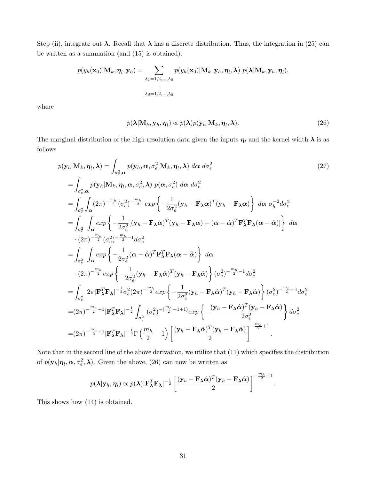Step (ii), integrate out  $\lambda$ . Recall that  $\lambda$  has a discrete distribution. Thus, the integration in (25) can be written as a summation (and (15) is obtained):

$$
p(y_h(\mathbf{x}_0)|\mathbf{M}_k, \boldsymbol{\eta}_l, \mathbf{y}_h) = \sum_{\substack{\lambda_1 = 1, 2, ..., \lambda_0 \\ \vdots \\ \lambda_d = 1, 2, ..., \lambda_0}} p(y_h(\mathbf{x}_0)|\mathbf{M}_k, \mathbf{y}_h, \boldsymbol{\eta}_l, \boldsymbol{\lambda}) p(\boldsymbol{\lambda}|\mathbf{M}_k, \mathbf{y}_h, \boldsymbol{\eta}_l),
$$

where

$$
p(\boldsymbol{\lambda}|\mathbf{M}_k, \mathbf{y}_h, \boldsymbol{\eta}_l) \propto p(\boldsymbol{\lambda})p(\mathbf{y}_h|\mathbf{M}_k, \boldsymbol{\eta}_l, \boldsymbol{\lambda}).
$$
\n(26)

The marginal distribution of the high-resolution data given the inputs  $\eta_l$  and the kernel width  $\lambda$  is as follows

$$
p(\mathbf{y}_{h}|\mathbf{M}_{k}, \boldsymbol{\eta}_{l}, \boldsymbol{\lambda}) = \int_{\sigma_{e}^{2}, \alpha} p(\mathbf{y}_{h}, \alpha, \sigma_{e}^{2}|\mathbf{M}_{k}, \boldsymbol{\eta}_{l}, \boldsymbol{\lambda}) d\alpha d\sigma_{e}^{2}
$$
\n
$$
= \int_{\sigma_{e}^{2}, \alpha} p(\mathbf{y}_{h}|\mathbf{M}_{k}, \boldsymbol{\eta}_{l}, \alpha, \sigma_{e}^{2}, \boldsymbol{\lambda}) p(\alpha, \sigma_{e}^{2}) d\alpha d\sigma_{e}^{2}
$$
\n
$$
= \int_{\sigma_{e}^{2}} \int_{\alpha} (2\pi)^{-\frac{m_{h}}{2}} (\sigma_{e}^{2})^{-\frac{m_{h}}{2}} exp \left\{-\frac{1}{2\sigma_{e}^{2}} (\mathbf{y}_{h} - \mathbf{F}_{\lambda}\alpha)^{T} (\mathbf{y}_{h} - \mathbf{F}_{\lambda}\alpha)\right\} d\alpha \sigma_{h}^{-2} d\sigma_{e}^{2}
$$
\n
$$
= \int_{\sigma_{e}^{2}} \int_{\alpha} exp \left\{-\frac{1}{2\sigma_{e}^{2}} [(\mathbf{y}_{h} - \mathbf{F}_{\lambda}\alpha)^{T} (\mathbf{y}_{h} - \mathbf{F}_{\lambda}\alpha) + (\alpha - \hat{\alpha})^{T} \mathbf{F}_{\lambda}^{T} \mathbf{F}_{\lambda} (\alpha - \hat{\alpha})]\right\} d\alpha
$$
\n
$$
\cdot (2\pi)^{-\frac{m_{h}}{2}} (\sigma_{e}^{2})^{-\frac{m_{h}}{2}-1} d\sigma_{e}^{2}
$$
\n
$$
= \int_{\sigma_{e}^{2}} \int_{\alpha} exp \left\{-\frac{1}{2\sigma_{e}^{2}} (\alpha - \hat{\alpha})^{T} \mathbf{F}_{\lambda}^{T} \mathbf{F}_{\lambda} (\alpha - \hat{\alpha})\right\} d\alpha
$$
\n
$$
\cdot (2\pi)^{-\frac{m_{h}}{2}} exp \left\{-\frac{1}{2\sigma_{e}^{2}} (\mathbf{y}_{h} - \mathbf{F}_{\lambda}\hat{\alpha})^{T} (\mathbf{y}_{h} - \mathbf{F}_{\lambda}\hat{\alpha})\right\} (\sigma_{e}^{2})^{-\frac{m_{h}}{2}-1} d\sigma_{e}^{2}
$$
\n<math display="</math>

Note that in the second line of the above derivation, we utilize that (11) which specifies the distribution of  $p(\mathbf{y}_h|\boldsymbol{\eta}_l,\boldsymbol{\alpha},\sigma_e^2,\boldsymbol{\lambda})$ . Given the above, (26) can now be written as

$$
p(\boldsymbol{\lambda}|\mathbf{y}_h,\boldsymbol{\eta}_l) \propto p(\boldsymbol{\lambda}) |\mathbf{F}_{\boldsymbol{\lambda}}^T \mathbf{F}_{\boldsymbol{\lambda}}|^{-\frac{1}{2}} \left[ \frac{(\mathbf{y}_h - \mathbf{F}_{\boldsymbol{\lambda}} \hat{\boldsymbol{\alpha}})^T (\mathbf{y}_h - \mathbf{F}_{\boldsymbol{\lambda}} \hat{\boldsymbol{\alpha}})}{2} \right]^{-\frac{m_h}{2} + 1}
$$

.

This shows how (14) is obtained.